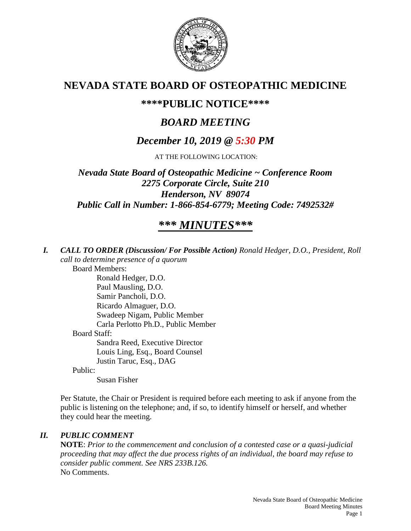

## **NEVADA STATE BOARD OF OSTEOPATHIC MEDICINE**

## **\*\*\*\*PUBLIC NOTICE\*\*\*\***

# *BOARD MEETING*

## *December 10, 2019 @ 5:30 PM*

AT THE FOLLOWING LOCATION:

*Nevada State Board of Osteopathic Medicine ~ Conference Room 2275 Corporate Circle, Suite 210 Henderson, NV 89074 Public Call in Number: 1-866-854-6779; Meeting Code: 7492532#*

# *\*\*\* MINUTES\*\*\**

*I. CALL TO ORDER (Discussion/ For Possible Action) Ronald Hedger, D.O., President, Roll call to determine presence of a quorum*

Board Members:

Ronald Hedger, D.O. Paul Mausling, D.O. Samir Pancholi, D.O. Ricardo Almaguer, D.O. Swadeep Nigam, Public Member Carla Perlotto Ph.D., Public Member Board Staff: Sandra Reed, Executive Director Louis Ling, Esq., Board Counsel Justin Taruc, Esq., DAG

Public:

Susan Fisher

Per Statute, the Chair or President is required before each meeting to ask if anyone from the public is listening on the telephone; and, if so, to identify himself or herself, and whether they could hear the meeting.

#### *II. PUBLIC COMMENT*

**NOTE**: *Prior to the commencement and conclusion of a contested case or a quasi-judicial proceeding that may affect the due process rights of an individual, the board may refuse to consider public comment. See NRS 233B.126.* No Comments.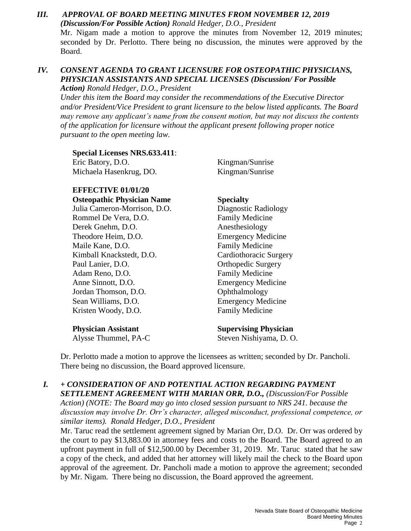#### *III. APPROVAL OF BOARD MEETING MINUTES FROM NOVEMBER 12, 2019 (Discussion/For Possible Action) Ronald Hedger, D.O., President* Mr. Nigam made a motion to approve the minutes from November 12, 2019 minutes; seconded by Dr. Perlotto. There being no discussion, the minutes were approved by the Board.

### *IV. CONSENT AGENDA TO GRANT LICENSURE FOR OSTEOPATHIC PHYSICIANS, PHYSICIAN ASSISTANTS AND SPECIAL LICENSES (Discussion/ For Possible*

*Action) Ronald Hedger, D.O., President*

*Under this item the Board may consider the recommendations of the Executive Director and/or President/Vice President to grant licensure to the below listed applicants. The Board may remove any applicant's name from the consent motion, but may not discuss the contents of the application for licensure without the applicant present following proper notice pursuant to the open meeting law.*

**Special Licenses NRS.633.411**: Eric Batory, D.O. Kingman/Sunrise Michaela Hasenkrug, DO. Kingman/Sunrise

**EFFECTIVE 01/01/20 Osteopathic Physician Name Specialty**

Julia Cameron-Morrison, D.O. Diagnostic Radiology Rommel De Vera, D.O. Family Medicine Derek Gnehm, D.O. Anesthesiology Theodore Heim, D.O. Emergency Medicine Maile Kane, D.O. **Family Medicine** Kimball Knackstedt, D.O. Cardiothoracic Surgery Paul Lanier, D.O. **Orthopedic Surgery** Adam Reno, D.O. **Family Medicine** Anne Sinnott, D.O. Emergency Medicine Jordan Thomson, D.O. Conthalmology Sean Williams, D.O. Emergency Medicine Kristen Woody, D.O. Family Medicine

**Physician Assistant Supervising Physician**

Alysse Thummel, PA-C Steven Nishiyama, D. O.

Dr. Perlotto made a motion to approve the licensees as written; seconded by Dr. Pancholi. There being no discussion, the Board approved licensure.

*I. + CONSIDERATION OF AND POTENTIAL ACTION REGARDING PAYMENT SETTLEMENT AGREEMENT WITH MARIAN ORR, D.O., (Discussion/For Possible Action) (NOTE: The Board may go into closed session pursuant to NRS 241. because the discussion may involve Dr. Orr's character, alleged misconduct, professional competence, or similar items). Ronald Hedger, D.O., President*

Mr. Taruc read the settlement agreement signed by Marian Orr, D.O. Dr. Orr was ordered by the court to pay \$13,883.00 in attorney fees and costs to the Board. The Board agreed to an upfront payment in full of \$12,500.00 by December 31, 2019. Mr. Taruc stated that he saw a copy of the check, and added that her attorney will likely mail the check to the Board upon approval of the agreement. Dr. Pancholi made a motion to approve the agreement; seconded by Mr. Nigam. There being no discussion, the Board approved the agreement.